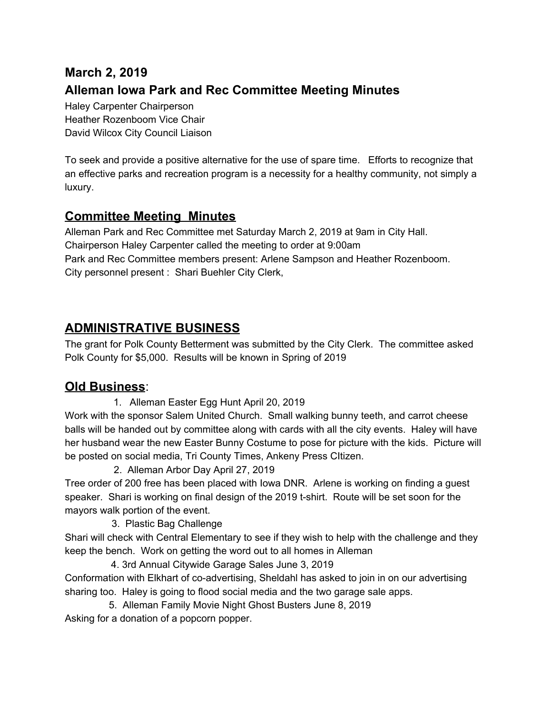# **March 2, 2019 Alleman Iowa Park and Rec Committee Meeting Minutes**

Haley Carpenter Chairperson Heather Rozenboom Vice Chair David Wilcox City Council Liaison

To seek and provide a positive alternative for the use of spare time. Efforts to recognize that an effective parks and recreation program is a necessity for a healthy community, not simply a luxury.

### **Committee Meeting Minutes**

Alleman Park and Rec Committee met Saturday March 2, 2019 at 9am in City Hall. Chairperson Haley Carpenter called the meeting to order at 9:00am Park and Rec Committee members present: Arlene Sampson and Heather Rozenboom. City personnel present : Shari Buehler City Clerk,

## **ADMINISTRATIVE BUSINESS**

The grant for Polk County Betterment was submitted by the City Clerk. The committee asked Polk County for \$5,000. Results will be known in Spring of 2019

### **Old Business**:

1. Alleman Easter Egg Hunt April 20, 2019

Work with the sponsor Salem United Church. Small walking bunny teeth, and carrot cheese balls will be handed out by committee along with cards with all the city events. Haley will have her husband wear the new Easter Bunny Costume to pose for picture with the kids. Picture will be posted on social media, Tri County Times, Ankeny Press CItizen.

2. Alleman Arbor Day April 27, 2019

Tree order of 200 free has been placed with Iowa DNR. Arlene is working on finding a guest speaker. Shari is working on final design of the 2019 t-shirt. Route will be set soon for the mayors walk portion of the event.

3. Plastic Bag Challenge

Shari will check with Central Elementary to see if they wish to help with the challenge and they keep the bench. Work on getting the word out to all homes in Alleman

4. 3rd Annual Citywide Garage Sales June 3, 2019 Conformation with Elkhart of co-advertising, Sheldahl has asked to join in on our advertising sharing too. Haley is going to flood social media and the two garage sale apps.

5. Alleman Family Movie Night Ghost Busters June 8, 2019 Asking for a donation of a popcorn popper.